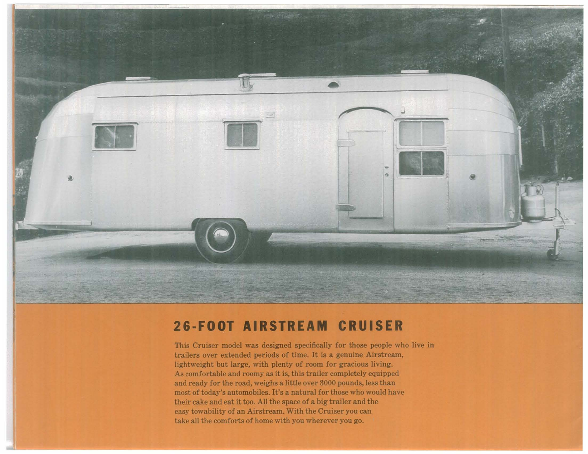

## **26·FOOT AIRSTREAM CRUISER**

This Cruiser model was designed specifically for those people who live in trailers over extended periods of time. It is <sup>a</sup> genuine Airstream, lightweight but large, with plenty of room for gracious living. As comfortable and roomy as it is, this trailer completely equipped and ready for the road, weighs a little over 3000 pounds, less than most of today's automobiles. It's a natural for those who would have their cake and eat it too. All the space of a big trailer and the easy towability of an Airstream. With the Cruiser you can take all the comforts of home with you wherever you go.